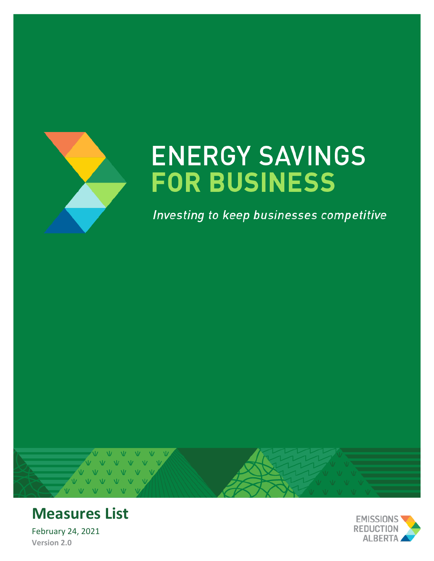

# **ENERGY SAVINGS FOR BUSINESS**

Investing to keep businesses competitive





# **Measures List**

February 24, 2021 **Version 2.0**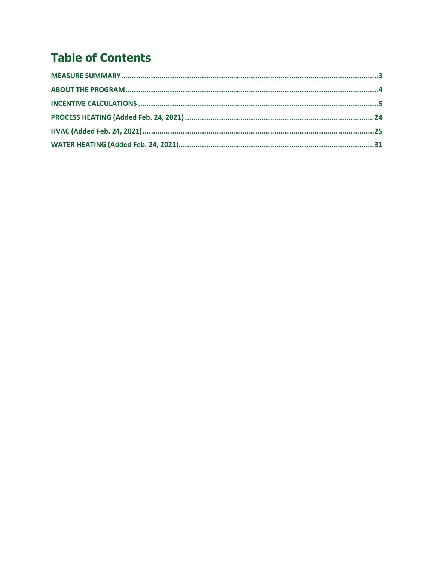# **Table of Contents**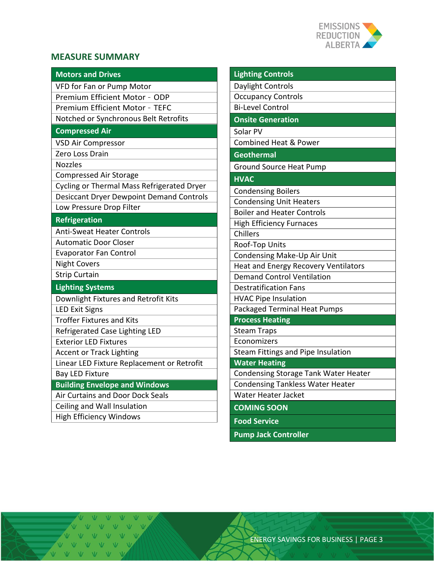

#### <span id="page-2-0"></span>**MEASURE SUMMARY**

| <b>Motors and Drives</b>                        | <b>Lighting Controls</b>                |
|-------------------------------------------------|-----------------------------------------|
| VFD for Fan or Pump Motor                       | Daylight Controls                       |
| Premium Efficient Motor - ODP                   | <b>Occupancy Controls</b>               |
| Premium Efficient Motor - TEFC                  | <b>Bi-Level Control</b>                 |
| Notched or Synchronous Belt Retrofits           | <b>Onsite Generation</b>                |
| <b>Compressed Air</b>                           | Solar PV                                |
| <b>VSD Air Compressor</b>                       | <b>Combined Heat &amp; Power</b>        |
| Zero Loss Drain                                 | <b>Geothermal</b>                       |
| <b>Nozzles</b>                                  | <b>Ground Source Heat Pump</b>          |
| <b>Compressed Air Storage</b>                   | <b>HVAC</b>                             |
| Cycling or Thermal Mass Refrigerated Dryer      | <b>Condensing Boilers</b>               |
| <b>Desiccant Dryer Dewpoint Demand Controls</b> | <b>Condensing Unit Heaters</b>          |
| Low Pressure Drop Filter                        | <b>Boiler and Heater Controls</b>       |
| <b>Refrigeration</b>                            | <b>High Efficiency Furnaces</b>         |
| <b>Anti-Sweat Heater Controls</b>               | Chillers                                |
| <b>Automatic Door Closer</b>                    | Roof-Top Units                          |
| <b>Evaporator Fan Control</b>                   | Condensing Make-Up Air Unit             |
| <b>Night Covers</b>                             | Heat and Energy Recovery Ventilators    |
| <b>Strip Curtain</b>                            | <b>Demand Control Ventilation</b>       |
| <b>Lighting Systems</b>                         | <b>Destratification Fans</b>            |
| Downlight Fixtures and Retrofit Kits            | <b>HVAC Pipe Insulation</b>             |
| <b>LED Exit Signs</b>                           | <b>Packaged Terminal Heat Pumps</b>     |
| <b>Troffer Fixtures and Kits</b>                | <b>Process Heating</b>                  |
| Refrigerated Case Lighting LED                  | <b>Steam Traps</b>                      |
| <b>Exterior LED Fixtures</b>                    | Economizers                             |
| <b>Accent or Track Lighting</b>                 | Steam Fittings and Pipe Insulation      |
| Linear LED Fixture Replacement or Retrofit      | <b>Water Heating</b>                    |
| <b>Bay LED Fixture</b>                          | Condensing Storage Tank Water Heater    |
| <b>Building Envelope and Windows</b>            | <b>Condensing Tankless Water Heater</b> |
| Air Curtains and Door Dock Seals                | Water Heater Jacket                     |
| Ceiling and Wall Insulation                     | <b>COMING SOON</b>                      |
| <b>High Efficiency Windows</b>                  | <b>Food Service</b>                     |
|                                                 | <b>Pump Jack Controller</b>             |

 $\overline{\mathbf{w}}$ Ŵ  $V$   $V$ V V V V V V VVVVVV V V V V V V VVVVVVV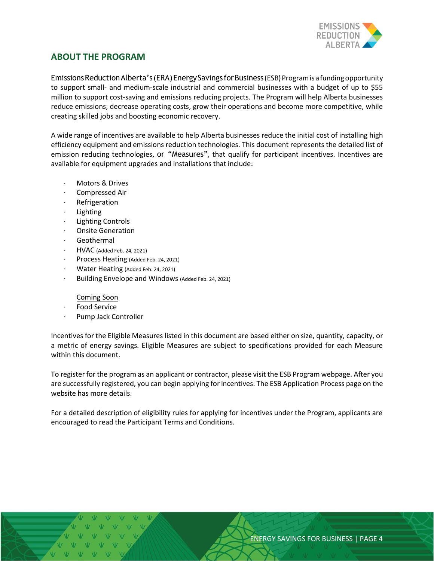

#### **ABOUT THE PROGRAM**

Emissions Reduction Alberta's (ERA) Energy Savings for Business (ESB) Program is a funding opportunity to support small- and medium-scale industrial and commercial businesses with a budget of up to \$55 million to support cost-saving and emissions reducing projects. The Program will help Alberta businesses reduce emissions, decrease operating costs, grow their operations and become more competitive, while creating skilled jobs and boosting economic recovery.

<span id="page-3-0"></span>A wide range of incentives are available to help Alberta businesses reduce the initial cost of installing high efficiency equipment and emissions reduction technologies. This document represents the detailed list of emission reducing technologies, or "Measures", that qualify for participant incentives. Incentives are available for equipment upgrades and installations that include:

- Motors & Drives
- · Compressed Air
- **Refrigeration**
- **Lighting**
- **Lighting Controls**
- Onsite Generation
- **Geothermal**
- · HVAC (Added Feb. 24, 2021)
- Process Heating (Added Feb. 24, 2021)
- Water Heating (Added Feb. 24, 2021)
- Building Envelope and Windows (Added Feb. 24, 2021)

#### Coming Soon

- Food Service
- Pump Jack Controller

Incentives for the Eligible Measures listed in this document are based either on size, quantity, capacity, or a metric of energy savings. Eligible Measures are subject to specifications provided for each Measure within this document.

To register for the program as an applicant or contractor, please visit the ESB Program webpage. After you are successfully registered, you can begin applying for incentives. The ESB Application Process page on the website has more details.

For a detailed description of eligibility rules for applying for incentives under the Program, applicants are encouraged to read the Participant Terms and Conditions.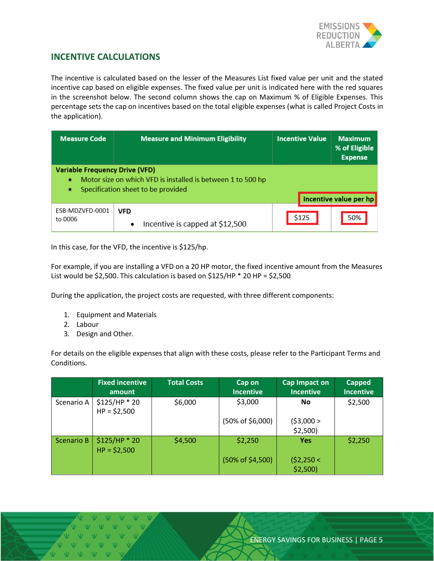

#### **INCENTIVE CALCULATIONS**

The incentive is calculated based on the lesser of the Measures List fixed value per unit and the stated incentive cap based on eligible expenses. The fixed value per unit is indicated here with the red squares in the screenshot below. The second column shows the cap on Maximum % of Eligible Expenses. This percentage sets the cap on incentives based on the total eligible expenses (what is called Project Costs in the application).

| <b>Measure Code</b>                             | <b>Measure and Minimum Eligibility</b>                                                            | <b>Incentive Value</b> | <b>Maximum</b><br>% of Eligible<br><b>Expense</b> |
|-------------------------------------------------|---------------------------------------------------------------------------------------------------|------------------------|---------------------------------------------------|
| <b>Variable Frequency Drive (VFD)</b><br>۰<br>۰ | Motor size on which VFD is installed is between 1 to 500 hp<br>Specification sheet to be provided |                        | Incentive value per hp                            |
| ESB-MDZVFD-0001<br>to 0006                      | <b>VFD</b><br>Incentive is capped at \$12,500<br>$\bullet$                                        | \$125                  | 50%                                               |

<span id="page-4-0"></span>In this case, for the VFD, the incentive is \$125/hp.

For example, if you are installing a VFD on a 20 HP motor, the fixed incentive amount from the Measures List would be \$2,500. This calculation is based on \$125/HP  $*$  20 HP = \$2,500

During the application, the project costs are requested, with three different components:

- 1. Equipment and Materials
- 2. Labour
- 3. Design and Other.

For details on the eligible expenses that align with these costs, please refer to the Participant Terms and Conditions.

|                   | <b>Fixed incentive</b><br>amount | <b>Total Costs</b> | Cap on<br><b>Incentive</b>  | Cap Impact on<br><b>Incentive</b> | <b>Capped</b><br><b>Incentive</b> |
|-------------------|----------------------------------|--------------------|-----------------------------|-----------------------------------|-----------------------------------|
| Scenario A        | \$125/HP * 20<br>$HP = $2,500$   | \$6,000            | \$3,000                     | No.                               | \$2,500                           |
|                   |                                  |                    | $(50\% \text{ of } $6,000)$ | (53,000 ><br>\$2,500              |                                   |
| <b>Scenario B</b> | $$125/HP * 20$<br>$HP = $2,500$  | \$4,500            | \$2,250                     | <b>Yes</b>                        | \$2,250                           |
|                   |                                  |                    | (50% of \$4,500)            | (52,250 <<br>$$2,500$ )           |                                   |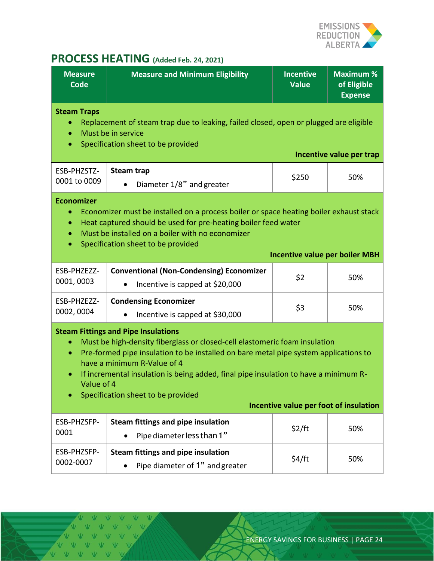

## **PROCESS HEATING (Added Feb. 24, 2021)**

<span id="page-5-0"></span>

| <b>Measure</b><br><b>Code</b>                                                                                                                                                                                                                                                                                                                                                                                                                                   | <b>Measure and Minimum Eligibility</b>                                                          | <b>Incentive</b><br><b>Value</b>      | <b>Maximum %</b><br>of Eligible<br><b>Expense</b> |  |
|-----------------------------------------------------------------------------------------------------------------------------------------------------------------------------------------------------------------------------------------------------------------------------------------------------------------------------------------------------------------------------------------------------------------------------------------------------------------|-------------------------------------------------------------------------------------------------|---------------------------------------|---------------------------------------------------|--|
| <b>Steam Traps</b><br>Replacement of steam trap due to leaking, failed closed, open or plugged are eligible<br>Must be in service<br>$\bullet$<br>Specification sheet to be provided<br>$\bullet$<br>Incentive value per trap                                                                                                                                                                                                                                   |                                                                                                 |                                       |                                                   |  |
| ESB-PHZSTZ-<br>0001 to 0009                                                                                                                                                                                                                                                                                                                                                                                                                                     | <b>Steam trap</b><br>Diameter 1/8" and greater                                                  | \$250                                 | 50%                                               |  |
| <b>Economizer</b><br>Economizer must be installed on a process boiler or space heating boiler exhaust stack<br>$\bullet$<br>Heat captured should be used for pre-heating boiler feed water<br>$\bullet$<br>Must be installed on a boiler with no economizer<br>$\bullet$<br>Specification sheet to be provided<br>$\bullet$                                                                                                                                     |                                                                                                 |                                       |                                                   |  |
|                                                                                                                                                                                                                                                                                                                                                                                                                                                                 |                                                                                                 | <b>Incentive value per boiler MBH</b> |                                                   |  |
| ESB-PHZEZZ-<br>0001,0003                                                                                                                                                                                                                                                                                                                                                                                                                                        | <b>Conventional (Non-Condensing) Economizer</b><br>Incentive is capped at \$20,000<br>$\bullet$ | \$2                                   | 50%                                               |  |
| ESB-PHZEZZ-<br>0002, 0004                                                                                                                                                                                                                                                                                                                                                                                                                                       | <b>Condensing Economizer</b><br>Incentive is capped at \$30,000                                 |                                       | 50%                                               |  |
| <b>Steam Fittings and Pipe Insulations</b><br>Must be high-density fiberglass or closed-cell elastomeric foam insulation<br>Pre-formed pipe insulation to be installed on bare metal pipe system applications to<br>$\bullet$<br>have a minimum R-Value of 4<br>If incremental insulation is being added, final pipe insulation to have a minimum R-<br>Value of 4<br>Specification sheet to be provided<br>$\bullet$<br>Incentive value per foot of insulation |                                                                                                 |                                       |                                                   |  |
| ESB-PHZSFP-                                                                                                                                                                                                                                                                                                                                                                                                                                                     | Steam fittings and pipe insulation                                                              |                                       |                                                   |  |
| 0001                                                                                                                                                                                                                                                                                                                                                                                                                                                            | Pipe diameter less than 1"                                                                      | \$2/ft                                | 50%                                               |  |
| ESB-PHZSFP-                                                                                                                                                                                                                                                                                                                                                                                                                                                     | Steam fittings and pipe insulation                                                              |                                       |                                                   |  |
| 0002-0007                                                                                                                                                                                                                                                                                                                                                                                                                                                       | Pipe diameter of 1" and greater                                                                 | \$4/ft                                | 50%                                               |  |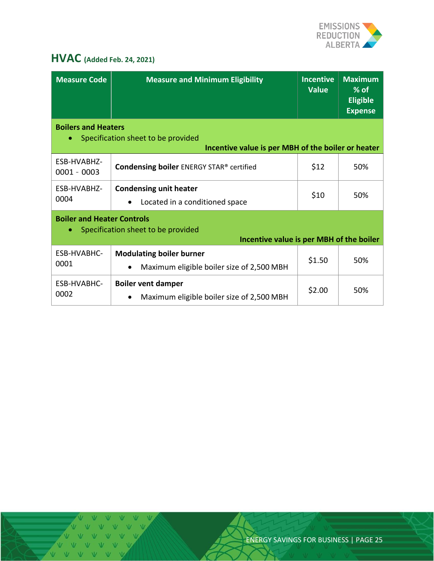

## <span id="page-6-0"></span>**HVAC (Added Feb. 24, 2021)**

| <b>Measure Code</b>                                                                                                                 | <b>Measure and Minimum Eligibility</b>                                                    | <b>Incentive</b><br><b>Value</b> | <b>Maximum</b><br>$%$ of<br><b>Eligible</b><br><b>Expense</b> |  |
|-------------------------------------------------------------------------------------------------------------------------------------|-------------------------------------------------------------------------------------------|----------------------------------|---------------------------------------------------------------|--|
| <b>Boilers and Heaters</b><br>Specification sheet to be provided<br>$\bullet$<br>Incentive value is per MBH of the boiler or heater |                                                                                           |                                  |                                                               |  |
| ESB-HVABHZ-<br>$0001 - 0003$                                                                                                        | <b>Condensing boiler ENERGY STAR® certified</b>                                           | \$12                             | 50%                                                           |  |
| ESB-HVABHZ-<br>0004                                                                                                                 | <b>Condensing unit heater</b><br>Located in a conditioned space                           | \$10                             | 50%                                                           |  |
| <b>Boiler and Heater Controls</b><br>Specification sheet to be provided<br>۰<br>Incentive value is per MBH of the boiler            |                                                                                           |                                  |                                                               |  |
| ESB-HVABHC-<br>0001                                                                                                                 | <b>Modulating boiler burner</b><br>Maximum eligible boiler size of 2,500 MBH<br>$\bullet$ | \$1.50                           | 50%                                                           |  |
| ESB-HVABHC-<br>0002                                                                                                                 | <b>Boiler vent damper</b><br>Maximum eligible boiler size of 2,500 MBH                    | \$2.00                           | 50%                                                           |  |

V V V V V VVVVV VVVVV VVVVVV

ENERGY SAVINGS FOR BUSINESS | PAGE 25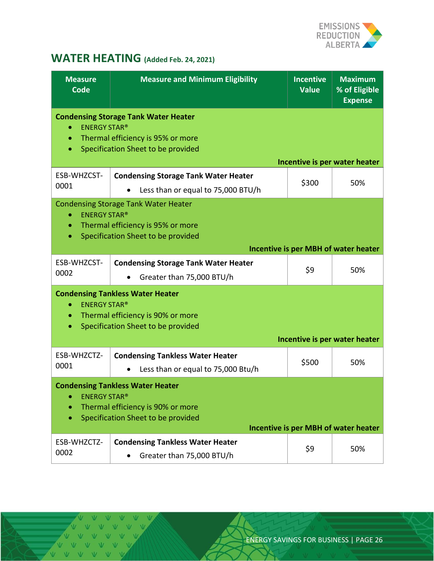

## <span id="page-7-0"></span>**WATER HEATING (Added Feb. 24, 2021)**

| <b>Measure</b><br><b>Code</b>                                                                                                                                                                    | <b>Measure and Minimum Eligibility</b>                                                                                 | <b>Incentive</b><br><b>Value</b> | <b>Maximum</b><br>% of Eligible<br><b>Expense</b> |
|--------------------------------------------------------------------------------------------------------------------------------------------------------------------------------------------------|------------------------------------------------------------------------------------------------------------------------|----------------------------------|---------------------------------------------------|
| <b>ENERGY STAR®</b><br>$\bullet$<br>$\bullet$<br>$\bullet$                                                                                                                                       | <b>Condensing Storage Tank Water Heater</b><br>Thermal efficiency is 95% or more<br>Specification Sheet to be provided |                                  |                                                   |
| ESB-WHZCST-<br>0001                                                                                                                                                                              | <b>Condensing Storage Tank Water Heater</b><br>Less than or equal to 75,000 BTU/h                                      | \$300                            | Incentive is per water heater<br>50%              |
| <b>ENERGY STAR®</b><br>$\bullet$<br>$\bullet$<br>$\bullet$                                                                                                                                       | <b>Condensing Storage Tank Water Heater</b><br>Thermal efficiency is 95% or more<br>Specification Sheet to be provided |                                  | Incentive is per MBH of water heater              |
| ESB-WHZCST-<br>0002                                                                                                                                                                              | <b>Condensing Storage Tank Water Heater</b><br>Greater than 75,000 BTU/h                                               | \$9                              | 50%                                               |
| <b>Condensing Tankless Water Heater</b><br><b>ENERGY STAR®</b><br>Thermal efficiency is 90% or more<br>$\bullet$<br>Specification Sheet to be provided<br>$\bullet$                              |                                                                                                                        |                                  |                                                   |
| ESB-WHZCTZ-<br>0001                                                                                                                                                                              | <b>Condensing Tankless Water Heater</b><br>Less than or equal to 75,000 Btu/h                                          | \$500                            | Incentive is per water heater<br>50%              |
| <b>Condensing Tankless Water Heater</b><br><b>ENERGY STAR®</b><br>۰<br>Thermal efficiency is 90% or more<br>۰<br>Specification Sheet to be provided<br>۰<br>Incentive is per MBH of water heater |                                                                                                                        |                                  |                                                   |
| ESB-WHZCTZ-<br>0002                                                                                                                                                                              | <b>Condensing Tankless Water Heater</b><br>Greater than 75,000 BTU/h                                                   | \$9                              | 50%                                               |